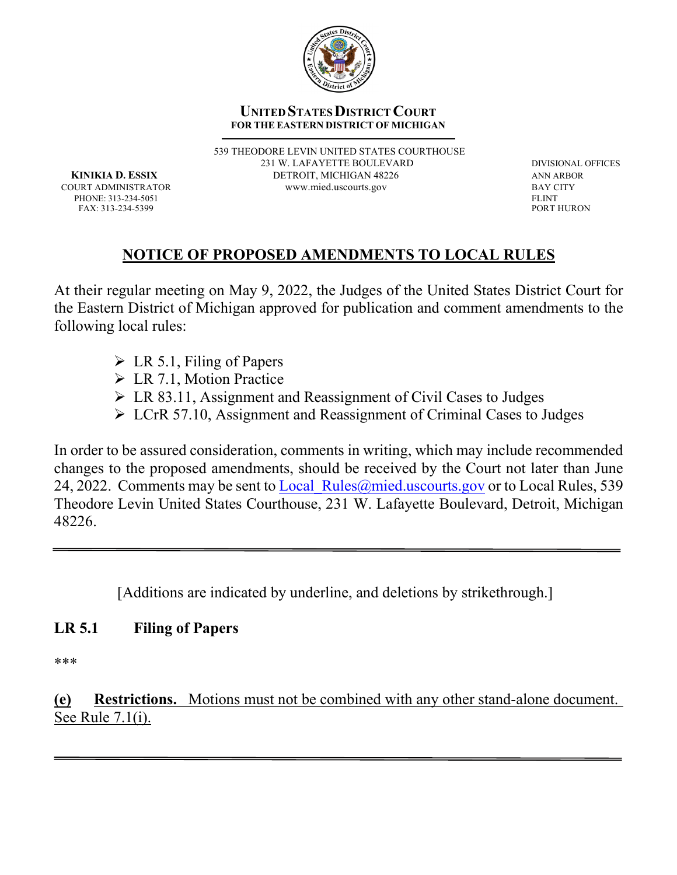

#### **UNITED STATES DISTRICT COURT FOR THE EASTERN DISTRICT OF MICHIGAN**

539 THEODORE LEVIN UNITED STATES COURTHOUSE 231 W. LAFAYETTE BOULEVARD DIVISIONAL OFFICES **KINIKIA D. ESSIX DETROIT, MICHIGAN 48226 ANN ARBOR** COURT ADMINISTRATOR[www.mied.uscourts.gov](http://www.mied.uscourts.gov/) BAY CITY

PHONE: 313-234-5051 FLINT FOR THURON FOR THE SERVICE OF THE SERVICE OF THE SERVICE OF THE SERVICE OF THE SERVICE OF THE SERVICE OF THE SERVICE OF THE SERVICE OF THE SERVICE OF THE SERVICE OF THE SERVICE OF THE SERVICE OF T

### **NOTICE OF PROPOSED AMENDMENTS TO LOCAL RULES**

At their regular meeting on May 9, 2022, the Judges of the United States District Court for the Eastern District of Michigan approved for publication and comment amendments to the following local rules:

 $\triangleright$  LR 5.1, Filing of Papers

FAX: 313-234-5399

- LR 7.1, Motion Practice
- LR 83.11, Assignment and Reassignment of Civil Cases to Judges
- LCrR 57.10, Assignment and Reassignment of Criminal Cases to Judges

In order to be assured consideration, comments in writing, which may include recommended changes to the proposed amendments, should be received by the Court not later than June 24, 2022. Comments may be sent to Local Rules  $\omega$  mied.uscourts.gov or to Local Rules, 539 Theodore Levin United States Courthouse, 231 W. Lafayette Boulevard, Detroit, Michigan 48226.

[Additions are indicated by underline, and deletions by strikethrough.]

#### **LR 5.1 Filing of Papers**

\*\*\*

**(e) Restrictions.** Motions must not be combined with any other stand-alone document. See Rule 7.1(i).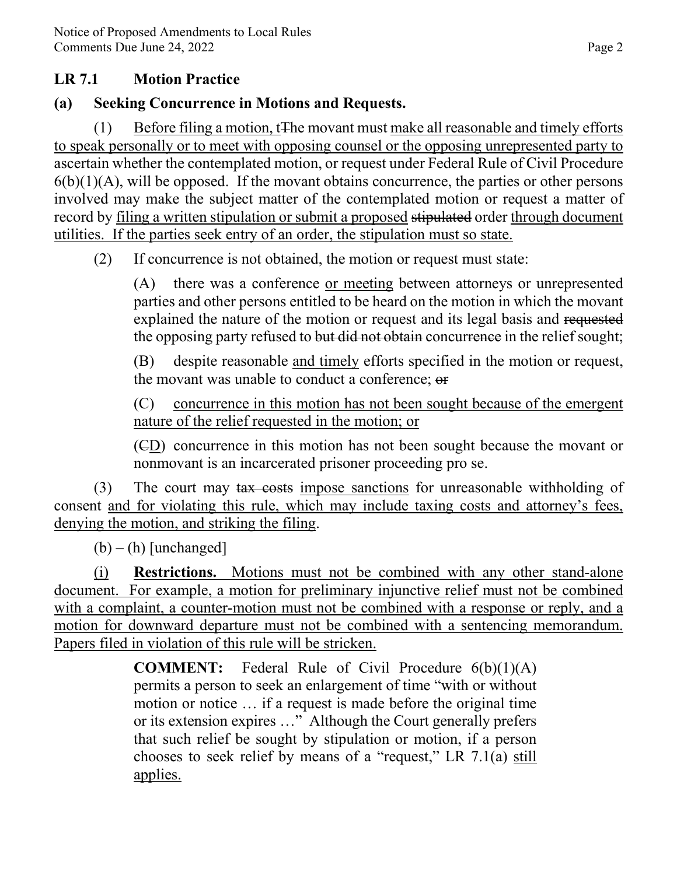#### **LR 7.1 Motion Practice**

## **(a) Seeking Concurrence in Motions and Requests.**

(1) Before filing a motion, tThe movant must make all reasonable and timely efforts to speak personally or to meet with opposing counsel or the opposing unrepresented party to ascertain whether the contemplated motion, or request under Federal Rule of Civil Procedure  $6(b)(1)(A)$ , will be opposed. If the movant obtains concurrence, the parties or other persons involved may make the subject matter of the contemplated motion or request a matter of record by filing a written stipulation or submit a proposed stipulated order through document utilities. If the parties seek entry of an order, the stipulation must so state.

(2) If concurrence is not obtained, the motion or request must state:

 (A) there was a conference or meeting between attorneys or unrepresented parties and other persons entitled to be heard on the motion in which the movant explained the nature of the motion or request and its legal basis and requested the opposing party refused to but did not obtain concurrence in the relief sought;

 (B) despite reasonable and timely efforts specified in the motion or request, the movant was unable to conduct a conference; or

 (C) concurrence in this motion has not been sought because of the emergent nature of the relief requested in the motion; or

 (CD) concurrence in this motion has not been sought because the movant or nonmovant is an incarcerated prisoner proceeding pro se.

(3) The court may tax costs impose sanctions for unreasonable withholding of consent and for violating this rule, which may include taxing costs and attorney's fees, denying the motion, and striking the filing.

 $(b) - (h)$  [unchanged]

 (i) **Restrictions.** Motions must not be combined with any other stand-alone document. For example, a motion for preliminary injunctive relief must not be combined with a complaint, a counter-motion must not be combined with a response or reply, and a motion for downward departure must not be combined with a sentencing memorandum. Papers filed in violation of this rule will be stricken.

> **COMMENT:** Federal Rule of Civil Procedure 6(b)(1)(A) permits a person to seek an enlargement of time "with or without motion or notice … if a request is made before the original time or its extension expires …" Although the Court generally prefers that such relief be sought by stipulation or motion, if a person chooses to seek relief by means of a "request," LR 7.1(a) still applies.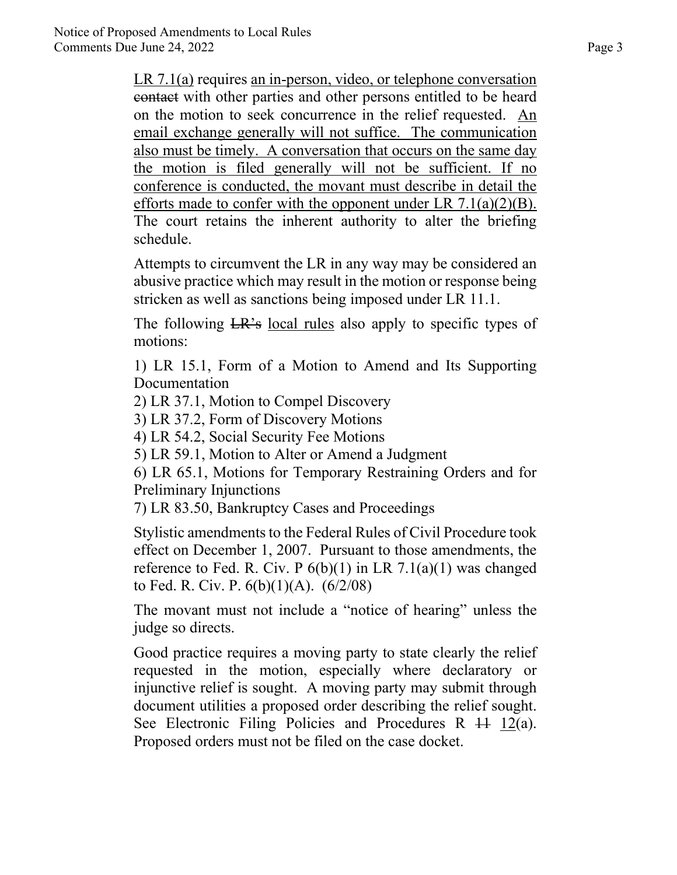LR 7.1(a) requires an in-person, video, or telephone conversation contact with other parties and other persons entitled to be heard on the motion to seek concurrence in the relief requested. An email exchange generally will not suffice. The communication also must be timely. A conversation that occurs on the same day the motion is filed generally will not be sufficient. If no conference is conducted, the movant must describe in detail the efforts made to confer with the opponent under LR  $7.1(a)(2)(B)$ . The court retains the inherent authority to alter the briefing schedule.

Attempts to circumvent the LR in any way may be considered an abusive practice which may result in the motion or response being stricken as well as sanctions being imposed under LR 11.1.

The following LR's local rules also apply to specific types of motions:

1) LR 15.1, Form of a Motion to Amend and Its Supporting Documentation

2) LR 37.1, Motion to Compel Discovery

3) LR 37.2, Form of Discovery Motions

4) LR 54.2, Social Security Fee Motions

5) LR 59.1, Motion to Alter or Amend a Judgment

6) LR 65.1, Motions for Temporary Restraining Orders and for Preliminary Injunctions

7) LR 83.50, Bankruptcy Cases and Proceedings

Stylistic amendments to the Federal Rules of Civil Procedure took effect on December 1, 2007. Pursuant to those amendments, the reference to Fed. R. Civ. P  $6(b)(1)$  in LR 7.1(a)(1) was changed to Fed. R. Civ. P. 6(b)(1)(A). (6/2/08)

The movant must not include a "notice of hearing" unless the judge so directs.

Good practice requires a moving party to state clearly the relief requested in the motion, especially where declaratory or injunctive relief is sought. A moving party may submit through document utilities a proposed order describing the relief sought. See Electronic Filing Policies and Procedures R  $\ddot{H}$  12(a). Proposed orders must not be filed on the case docket.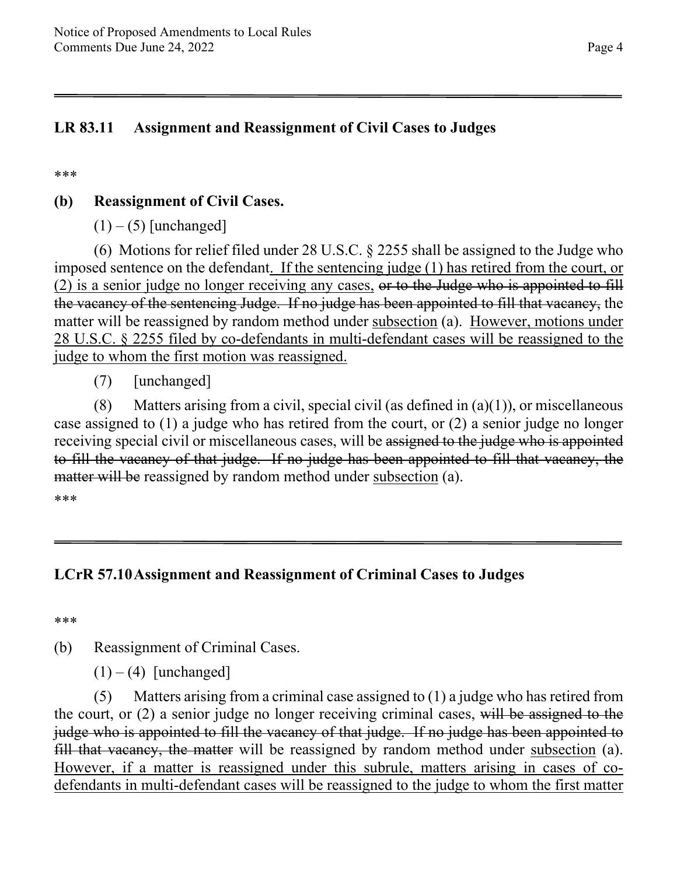### **LR 83.11 Assignment and Reassignment of Civil Cases to Judges**

\*\*\*

## **(b) Reassignment of Civil Cases.**

 $(1) - (5)$  [unchanged]

(6) Motions for relief filed under 28 U.S.C. § 2255 shall be assigned to the Judge who imposed sentence on the defendant. If the sentencing judge (1) has retired from the court, or  $(2)$  is a senior judge no longer receiving any cases, or to the Judge who is appointed to fill the vacancy of the sentencing Judge. If no judge has been appointed to fill that vacancy, the matter will be reassigned by random method under subsection (a). However, motions under 28 U.S.C. § 2255 filed by co-defendants in multi-defendant cases will be reassigned to the judge to whom the first motion was reassigned.

(7) [unchanged]

(8) Matters arising from a civil, special civil (as defined in  $(a)(1)$ ), or miscellaneous case assigned to (1) a judge who has retired from the court, or (2) a senior judge no longer receiving special civil or miscellaneous cases, will be assigned to the judge who is appointed to fill the vacancy of that judge. If no judge has been appointed to fill that vacancy, the matter will be reassigned by random method under subsection (a).

\*\*\*

### **LCrR 57.10Assignment and Reassignment of Criminal Cases to Judges**

\*\*\*

(b) Reassignment of Criminal Cases.

 $(1) - (4)$  [unchanged]

 (5) Matters arising from a criminal case assigned to (1) a judge who has retired from the court, or (2) a senior judge no longer receiving criminal cases, will be assigned to the judge who is appointed to fill the vacancy of that judge. If no judge has been appointed to fill that vacancy, the matter will be reassigned by random method under subsection (a). However, if a matter is reassigned under this subrule, matters arising in cases of codefendants in multi-defendant cases will be reassigned to the judge to whom the first matter